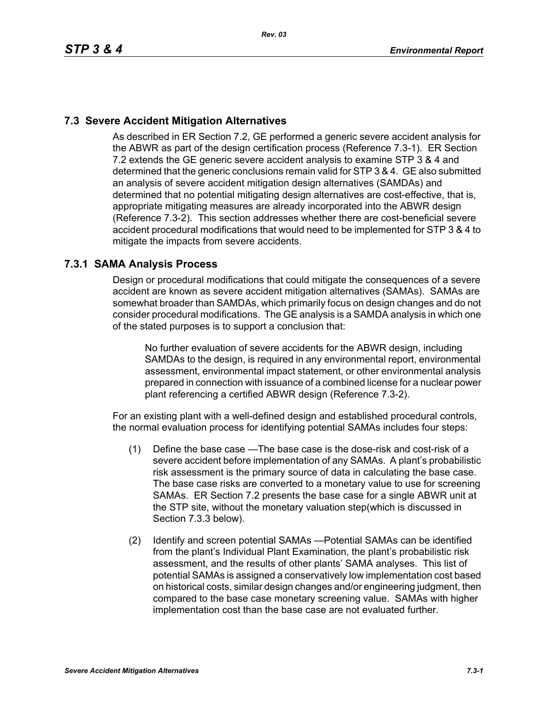# **7.3 Severe Accident Mitigation Alternatives**

As described in ER Section 7.2, GE performed a generic severe accident analysis for the ABWR as part of the design certification process (Reference 7.3-1). ER Section 7.2 extends the GE generic severe accident analysis to examine STP 3 & 4 and determined that the generic conclusions remain valid for STP 3 & 4. GE also submitted an analysis of severe accident mitigation design alternatives (SAMDAs) and determined that no potential mitigating design alternatives are cost-effective, that is, appropriate mitigating measures are already incorporated into the ABWR design (Reference 7.3-2). This section addresses whether there are cost-beneficial severe accident procedural modifications that would need to be implemented for STP 3 & 4 to mitigate the impacts from severe accidents.

# **7.3.1 SAMA Analysis Process**

Design or procedural modifications that could mitigate the consequences of a severe accident are known as severe accident mitigation alternatives (SAMAs). SAMAs are somewhat broader than SAMDAs, which primarily focus on design changes and do not consider procedural modifications. The GE analysis is a SAMDA analysis in which one of the stated purposes is to support a conclusion that:

No further evaluation of severe accidents for the ABWR design, including SAMDAs to the design, is required in any environmental report, environmental assessment, environmental impact statement, or other environmental analysis prepared in connection with issuance of a combined license for a nuclear power plant referencing a certified ABWR design (Reference 7.3-2).

For an existing plant with a well-defined design and established procedural controls, the normal evaluation process for identifying potential SAMAs includes four steps:

- (1) Define the base case —The base case is the dose-risk and cost-risk of a severe accident before implementation of any SAMAs. A plant's probabilistic risk assessment is the primary source of data in calculating the base case. The base case risks are converted to a monetary value to use for screening SAMAs. ER Section 7.2 presents the base case for a single ABWR unit at the STP site, without the monetary valuation step(which is discussed in Section 7.3.3 below).
- (2) Identify and screen potential SAMAs —Potential SAMAs can be identified from the plant's Individual Plant Examination, the plant's probabilistic risk assessment, and the results of other plants' SAMA analyses. This list of potential SAMAs is assigned a conservatively low implementation cost based on historical costs, similar design changes and/or engineering judgment, then compared to the base case monetary screening value. SAMAs with higher implementation cost than the base case are not evaluated further.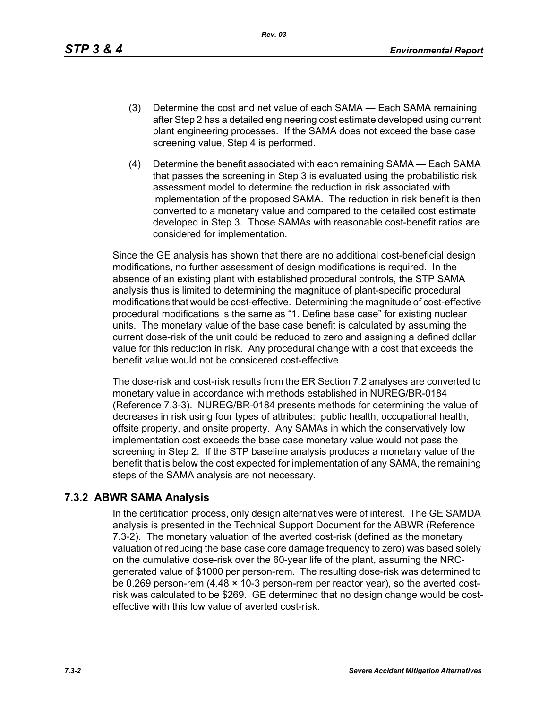*Rev. 03*

- (3) Determine the cost and net value of each SAMA Each SAMA remaining after Step 2 has a detailed engineering cost estimate developed using current plant engineering processes. If the SAMA does not exceed the base case screening value, Step 4 is performed.
- (4) Determine the benefit associated with each remaining SAMA Each SAMA that passes the screening in Step 3 is evaluated using the probabilistic risk assessment model to determine the reduction in risk associated with implementation of the proposed SAMA. The reduction in risk benefit is then converted to a monetary value and compared to the detailed cost estimate developed in Step 3. Those SAMAs with reasonable cost-benefit ratios are considered for implementation.

Since the GE analysis has shown that there are no additional cost-beneficial design modifications, no further assessment of design modifications is required. In the absence of an existing plant with established procedural controls, the STP SAMA analysis thus is limited to determining the magnitude of plant-specific procedural modifications that would be cost-effective. Determining the magnitude of cost-effective procedural modifications is the same as "1. Define base case" for existing nuclear units. The monetary value of the base case benefit is calculated by assuming the current dose-risk of the unit could be reduced to zero and assigning a defined dollar value for this reduction in risk. Any procedural change with a cost that exceeds the benefit value would not be considered cost-effective.

The dose-risk and cost-risk results from the ER Section 7.2 analyses are converted to monetary value in accordance with methods established in NUREG/BR-0184 (Reference 7.3-3). NUREG/BR-0184 presents methods for determining the value of decreases in risk using four types of attributes: public health, occupational health, offsite property, and onsite property. Any SAMAs in which the conservatively low implementation cost exceeds the base case monetary value would not pass the screening in Step 2. If the STP baseline analysis produces a monetary value of the benefit that is below the cost expected for implementation of any SAMA, the remaining steps of the SAMA analysis are not necessary.

# **7.3.2 ABWR SAMA Analysis**

In the certification process, only design alternatives were of interest. The GE SAMDA analysis is presented in the Technical Support Document for the ABWR (Reference 7.3-2). The monetary valuation of the averted cost-risk (defined as the monetary valuation of reducing the base case core damage frequency to zero) was based solely on the cumulative dose-risk over the 60-year life of the plant, assuming the NRCgenerated value of \$1000 per person-rem. The resulting dose-risk was determined to be 0.269 person-rem (4.48 × 10-3 person-rem per reactor year), so the averted costrisk was calculated to be \$269. GE determined that no design change would be costeffective with this low value of averted cost-risk.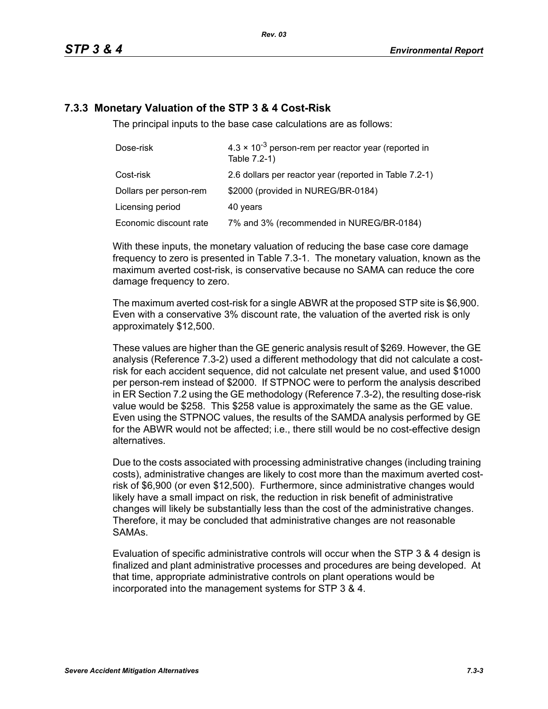# **7.3.3 Monetary Valuation of the STP 3 & 4 Cost-Risk**

The principal inputs to the base case calculations are as follows:

| Dose-risk              | $4.3 \times 10^{-3}$ person-rem per reactor year (reported in<br>Table 7.2-1) |  |
|------------------------|-------------------------------------------------------------------------------|--|
| Cost-risk              | 2.6 dollars per reactor year (reported in Table 7.2-1)                        |  |
| Dollars per person-rem | \$2000 (provided in NUREG/BR-0184)                                            |  |
| Licensing period       | 40 years                                                                      |  |
| Economic discount rate | 7% and 3% (recommended in NUREG/BR-0184)                                      |  |

With these inputs, the monetary valuation of reducing the base case core damage frequency to zero is presented in Table 7.3-1. The monetary valuation, known as the maximum averted cost-risk, is conservative because no SAMA can reduce the core damage frequency to zero.

The maximum averted cost-risk for a single ABWR at the proposed STP site is \$6,900. Even with a conservative 3% discount rate, the valuation of the averted risk is only approximately \$12,500.

These values are higher than the GE generic analysis result of \$269. However, the GE analysis (Reference 7.3-2) used a different methodology that did not calculate a costrisk for each accident sequence, did not calculate net present value, and used \$1000 per person-rem instead of \$2000. If STPNOC were to perform the analysis described in ER Section 7.2 using the GE methodology (Reference 7.3-2), the resulting dose-risk value would be \$258. This \$258 value is approximately the same as the GE value. Even using the STPNOC values, the results of the SAMDA analysis performed by GE for the ABWR would not be affected; i.e., there still would be no cost-effective design alternatives.

Due to the costs associated with processing administrative changes (including training costs), administrative changes are likely to cost more than the maximum averted costrisk of \$6,900 (or even \$12,500). Furthermore, since administrative changes would likely have a small impact on risk, the reduction in risk benefit of administrative changes will likely be substantially less than the cost of the administrative changes. Therefore, it may be concluded that administrative changes are not reasonable SAMAs.

Evaluation of specific administrative controls will occur when the STP 3 & 4 design is finalized and plant administrative processes and procedures are being developed. At that time, appropriate administrative controls on plant operations would be incorporated into the management systems for STP 3 & 4.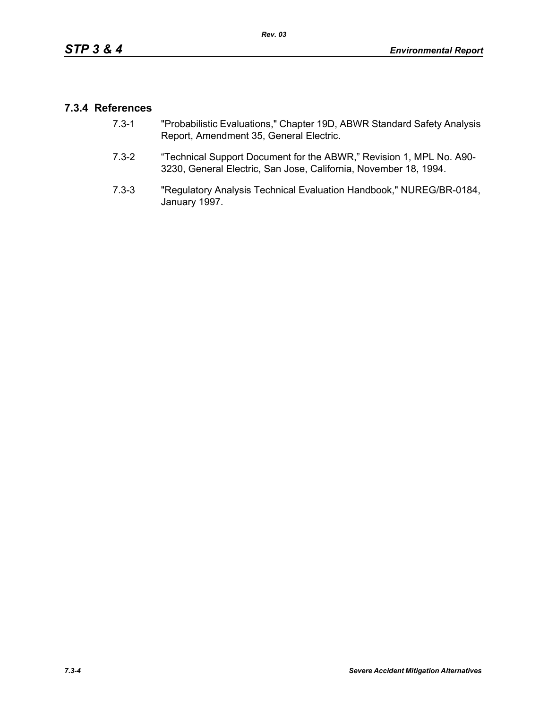# **7.3.4 References**

- 7.3-1 "Probabilistic Evaluations," Chapter 19D, ABWR Standard Safety Analysis Report, Amendment 35, General Electric.
- 7.3-2 "Technical Support Document for the ABWR," Revision 1, MPL No. A90- 3230, General Electric, San Jose, California, November 18, 1994.
- 7.3-3 "Regulatory Analysis Technical Evaluation Handbook," NUREG/BR-0184, January 1997.